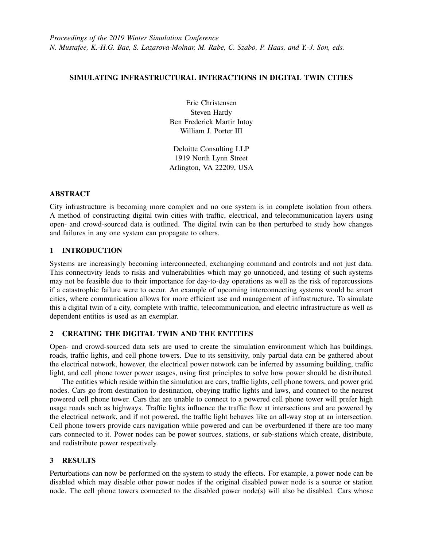# SIMULATING INFRASTRUCTURAL INTERACTIONS IN DIGITAL TWIN CITIES

Eric Christensen Steven Hardy Ben Frederick Martir Intoy William J. Porter III

Deloitte Consulting LLP 1919 North Lynn Street Arlington, VA 22209, USA

## ABSTRACT

City infrastructure is becoming more complex and no one system is in complete isolation from others. A method of constructing digital twin cities with traffic, electrical, and telecommunication layers using open- and crowd-sourced data is outlined. The digital twin can be then perturbed to study how changes and failures in any one system can propagate to others.

## 1 INTRODUCTION

Systems are increasingly becoming interconnected, exchanging command and controls and not just data. This connectivity leads to risks and vulnerabilities which may go unnoticed, and testing of such systems may not be feasible due to their importance for day-to-day operations as well as the risk of repercussions if a catastrophic failure were to occur. An example of upcoming interconnecting systems would be smart cities, where communication allows for more efficient use and management of infrastructure. To simulate this a digital twin of a city, complete with traffic, telecommunication, and electric infrastructure as well as dependent entities is used as an exemplar.

## 2 CREATING THE DIGITAL TWIN AND THE ENTITIES

Open- and crowd-sourced data sets are used to create the simulation environment which has buildings, roads, traffic lights, and cell phone towers. Due to its sensitivity, only partial data can be gathered about the electrical network, however, the electrical power network can be inferred by assuming building, traffic light, and cell phone tower power usages, using first principles to solve how power should be distributed.

The entities which reside within the simulation are cars, traffic lights, cell phone towers, and power grid nodes. Cars go from destination to destination, obeying traffic lights and laws, and connect to the nearest powered cell phone tower. Cars that are unable to connect to a powered cell phone tower will prefer high usage roads such as highways. Traffic lights influence the traffic flow at intersections and are powered by the electrical network, and if not powered, the traffic light behaves like an all-way stop at an intersection. Cell phone towers provide cars navigation while powered and can be overburdened if there are too many cars connected to it. Power nodes can be power sources, stations, or sub-stations which create, distribute, and redistribute power respectively.

## 3 RESULTS

Perturbations can now be performed on the system to study the effects. For example, a power node can be disabled which may disable other power nodes if the original disabled power node is a source or station node. The cell phone towers connected to the disabled power node(s) will also be disabled. Cars whose